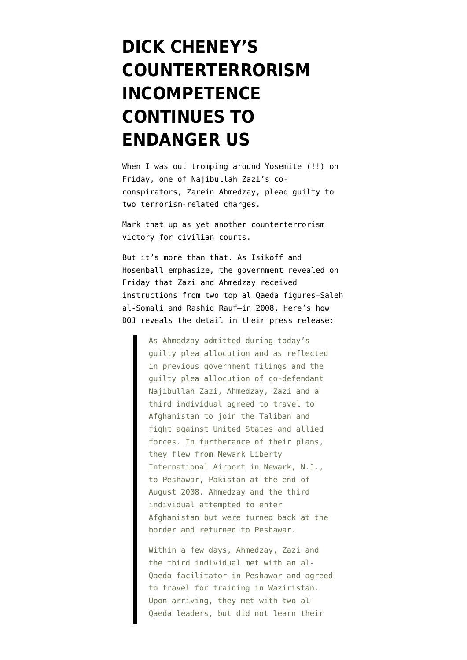## **[DICK CHENEY'S](https://www.emptywheel.net/2010/04/26/dick-cheneys-counterterrorism-incompetence-continues-to-hurt-us/) [COUNTERTERRORISM](https://www.emptywheel.net/2010/04/26/dick-cheneys-counterterrorism-incompetence-continues-to-hurt-us/) [INCOMPETENCE](https://www.emptywheel.net/2010/04/26/dick-cheneys-counterterrorism-incompetence-continues-to-hurt-us/) [CONTINUES TO](https://www.emptywheel.net/2010/04/26/dick-cheneys-counterterrorism-incompetence-continues-to-hurt-us/) [ENDANGER US](https://www.emptywheel.net/2010/04/26/dick-cheneys-counterterrorism-incompetence-continues-to-hurt-us/)**

When I was out tromping around Yosemite (!!) on Friday, one of Najibullah Zazi's coconspirators, Zarein Ahmedzay, [plead guilty](http://www.justice.gov/opa/pr/2010/April/10-ag-473.html) to two terrorism-related charges.

Mark that up as yet another counterterrorism victory for civilian courts.

But it's more than that. As [Isikoff and](http://blog.newsweek.com/blogs/declassified/archive/2010/04/23/al-qaeda-leaders-plotted-nyc-subway-attacks.aspx) [Hosenball emphasize](http://blog.newsweek.com/blogs/declassified/archive/2010/04/23/al-qaeda-leaders-plotted-nyc-subway-attacks.aspx), the government revealed on Friday that Zazi and Ahmedzay received instructions from two top al Qaeda figures–Saleh al-Somali and Rashid Rauf–in 2008. Here's how DOJ reveals the detail in their press release:

> As Ahmedzay admitted during today's guilty plea allocution and as reflected in previous government filings and the guilty plea allocution of co-defendant Najibullah Zazi, Ahmedzay, Zazi and a third individual agreed to travel to Afghanistan to join the Taliban and fight against United States and allied forces. In furtherance of their plans, they flew from Newark Liberty International Airport in Newark, N.J., to Peshawar, Pakistan at the end of August 2008. Ahmedzay and the third individual attempted to enter Afghanistan but were turned back at the border and returned to Peshawar.

Within a few days, Ahmedzay, Zazi and the third individual met with an al-Qaeda facilitator in Peshawar and agreed to travel for training in Waziristan. Upon arriving, they met with two al-Qaeda leaders, but did not learn their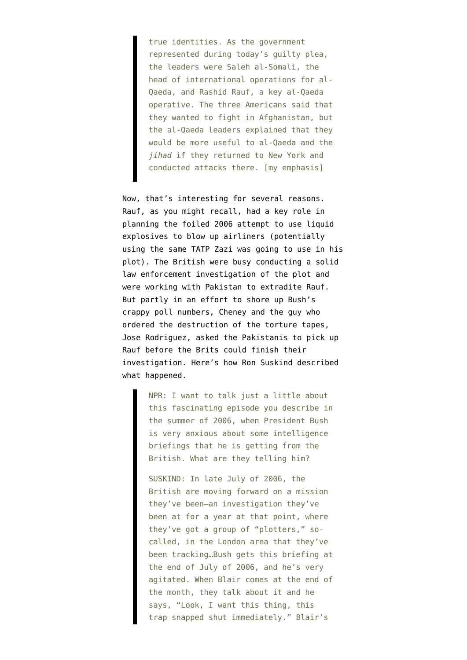true identities. As the government represented during today's guilty plea, the leaders were Saleh al-Somali, the head of international operations for al-Qaeda, and Rashid Rauf, a key al-Qaeda operative. The three Americans said that they wanted to fight in Afghanistan, but the al-Qaeda leaders explained that they would be more useful to al-Qaeda and the *jihad* if they returned to New York and conducted attacks there. [my emphasis]

Now, that's interesting for several reasons. Rauf, as you might recall, had a key role in planning the foiled 2006 attempt to use liquid explosives to blow up airliners (potentially using the same TATP Zazi was going to use in his plot). The British were busy conducting a solid law enforcement investigation of the plot and were working with Pakistan to extradite Rauf. But partly in an effort to shore up Bush's crappy poll numbers, Cheney and the guy who ordered the destruction of the torture tapes, Jose Rodriguez, asked the Pakistanis to pick up Rauf before the Brits could finish their investigation. Here's how Ron Suskind [described](http://www.npr.org/templates/story/story.php?storyId=93319762) what happened.

> NPR: I want to talk just a little about this fascinating episode you describe in the summer of 2006, when President Bush is very anxious about some intelligence briefings that he is getting from the British. What are they telling him?

> SUSKIND: In late July of 2006, the British are moving forward on a mission they've been–an investigation they've been at for a year at that point, where they've got a group of "plotters," socalled, in the London area that they've been tracking…Bush gets this briefing at the end of July of 2006, and he's very agitated. When Blair comes at the end of the month, they talk about it and he says, "Look, I want this thing, this trap snapped shut immediately." Blair's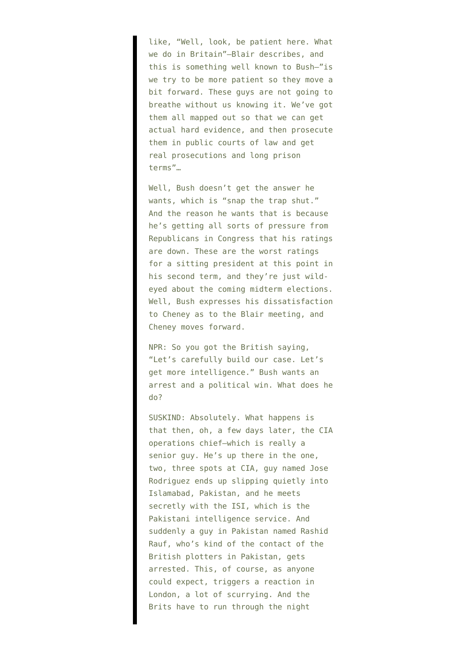like, "Well, look, be patient here. What we do in Britain"–Blair describes, and this is something well known to Bush–"is we try to be more patient so they move a bit forward. These guys are not going to breathe without us knowing it. We've got them all mapped out so that we can get actual hard evidence, and then prosecute them in public courts of law and get real prosecutions and long prison terms"…

Well, Bush doesn't get the answer he wants, which is "snap the trap shut." And the reason he wants that is because he's getting all sorts of pressure from Republicans in Congress that his ratings are down. These are the worst ratings for a sitting president at this point in his second term, and they're just wildeyed about the coming midterm elections. Well, Bush expresses his dissatisfaction to Cheney as to the Blair meeting, and Cheney moves forward.

NPR: So you got the British saying, "Let's carefully build our case. Let's get more intelligence." Bush wants an arrest and a political win. What does he do?

SUSKIND: Absolutely. What happens is that then, oh, a few days later, the CIA operations chief–which is really a senior guy. He's up there in the one, two, three spots at CIA, guy named Jose Rodriguez ends up slipping quietly into Islamabad, Pakistan, and he meets secretly with the ISI, which is the Pakistani intelligence service. And suddenly a guy in Pakistan named Rashid Rauf, who's kind of the contact of the British plotters in Pakistan, gets arrested. This, of course, as anyone could expect, triggers a reaction in London, a lot of scurrying. And the Brits have to run through the night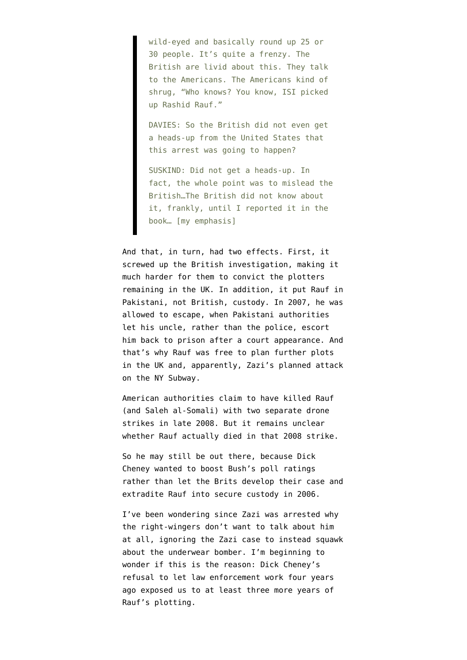wild-eyed and basically round up 25 or 30 people. It's quite a frenzy. The British are livid about this. They talk to the Americans. The Americans kind of shrug, "Who knows? You know, ISI picked up Rashid Rauf."

DAVIES: So the British did not even get a heads-up from the United States that this arrest was going to happen?

SUSKIND: Did not get a heads-up. In fact, the whole point was to mislead the British…The British did not know about it, frankly, until I reported it in the book… [my emphasis]

And that, in turn, had two effects. First, it [screwed up the British investigation](https://www.emptywheel.net/2009/09/08/cheneys-sabotage-of-counter-terrorism/), making it much harder for them to convict the plotters remaining in the UK. In addition, it put Rauf in Pakistani, not British, custody. In 2007, he was allowed to escape, when Pakistani authorities [let his uncle](http://www.dawn.com/2007/12/18/top5.htm), rather than the police, escort him back to prison after a court appearance. And that's why Rauf was free to [plan further plots](http://www.foxnews.com/story/0,2933,514697,00.html) [in the UK](http://www.foxnews.com/story/0,2933,514697,00.html) and, apparently, Zazi's planned attack on the NY Subway.

American authorities claim to have killed Rauf (and Saleh al-Somali) with two separate drone strikes in late 2008. But [it remains unclear](http://www.newsweek.com/id/193524) whether Rauf actually died in that 2008 strike.

So he may still be out there, because Dick Cheney wanted to boost Bush's poll ratings rather than let the Brits develop their case and extradite Rauf into secure custody in 2006.

I've been wondering since Zazi was arrested why the right-wingers don't want to talk about him at all, ignoring the Zazi case to instead squawk about the underwear bomber. I'm beginning to wonder if this is the reason: Dick Cheney's refusal to let law enforcement work four years ago exposed us to at least three more years of Rauf's plotting.